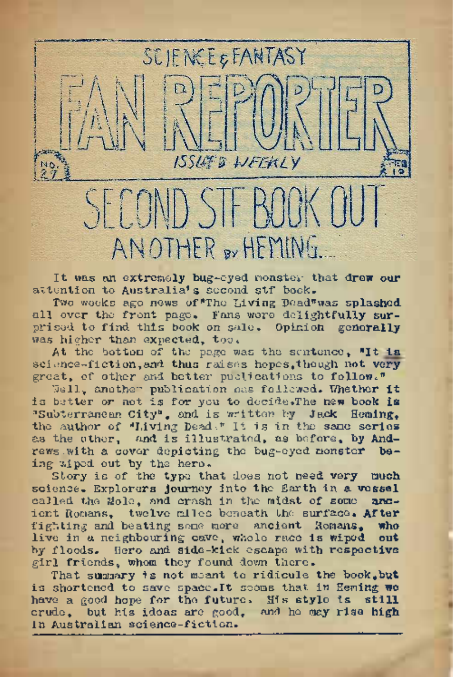SECOND STE BOOK OU ANOTHER BY HEMING.

ISSLE'S WEEKLY

**SCIENCE & FANTASY** 

It was an extremely bug-eyed, monster that **drew our** attention to Australia's second stf bock.

Two weeks ago news of "The Living Dead" was splashed, all over the front page. Fans were delightfully surprised to find this book on sale. Opinion generally was higher than expected, too.

At the bottom of the page was the sentence, "It is science-fiction, and thus raises hopes, though not very great, of other and better publications to follow."

Well, another publication has followed. Whether **it** is better or not is for you to decide»The new book **is** "Subterranean City", and is 'written by Jack **Heming,** the author of "Living Dead<sup>\*</sup> It is in the same series as the other, and is illustrated, as before, by **And**rews with a cover depicting the bug-eyed monster being 'wiped out by the hero.

Story is of the typo that does not need very **much •** science. Explorers journey into the Earth in a **vessel** called the Wold, and crash in the midst of some andcalled the Mole, and crash in the midst of some **anc**ient Romans, twelve miles beneath the surface. **After** fighting and beating some more ancient Romans, **who** live in a neighbouring cave, whole race is wiped by floods. Hero and side-kick escape with **respective** girl friends, whom they found down there.

That summary is not meant to ridicule the book,**but** is shortened to save <space.lt> seems that in Heming **we** have a good hope for the future. His style is **still** crude, but his ideas are good, and ho may rise high in Australian science-fiction.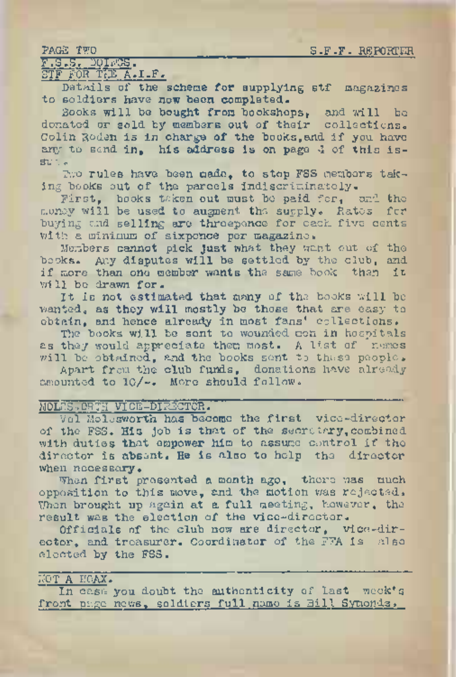PAGE TWO S.F.F. REPORTER

# F.S.8. DOINGS. ' STF FOR THE A.I.F.

Details of the scheme for supplying stf magazines to soldiers have now been completed.

Books will be bought from bookshops, and will be donated or sold by members out of their collections. Colin Roden is in charge of the books,and if you have any to send in. his address is on page 4 of this issu o <,

Two rules have been made, to stop FSS members taking books out of the parcels indiscriminately.

First, books taken out must be paid for, and the money will be used to augment the supply. Rates for buying and selling are threepence for each five cents with a minimum of sixpence per magazine.

Members cannot pick Just what they want out of the books. Any disputes will be settled by the club, and if more than one member wants the same book then it will be drawn for.

It is not estimated that many of the books will be wanted, as they will mostly be those that are easy to obtain, and hence already in most fans' collections.

The books will be sent to wounded men in hospitals as they would appreciate them most. A list of names will be obtained, and the books sent to these people.

Apart from the club funds, donations have already amounted to lo/~. More should follow.

# MOLESoORTH VICE-DIRECTOR.

Vol Molesworth has become the first vice-director of the FSS. His job is that of the secretary,combined with duties that empower him to assume control if the director is absent. He is also to help the director when necessary.

When first presented a month ago, there was much opposition to this move, and the motion was rejected, When brought up again at a full meeting, however, the result was the election of the vice-director.

Officials of the club now are director, vice-director, and treasurer. Coordinator of the FFA is also elected by the FSS.

# NOT A HOAX.

In case you doubt the authenticity of last week's front page news, soldiers full name is Bill Symonds.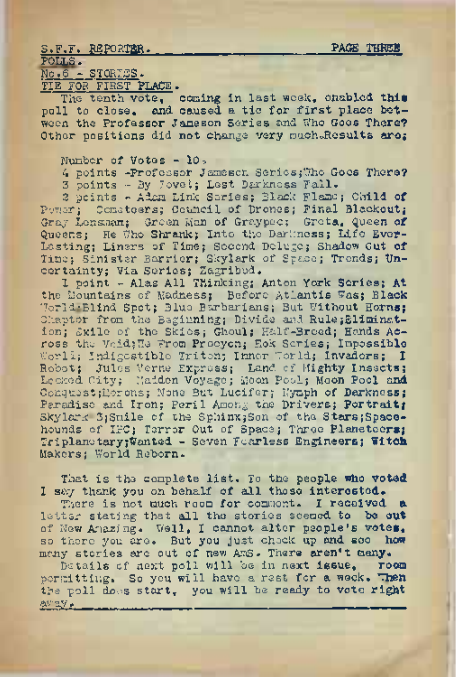### S.F.F. REPORTER. PAGE THREE POLLS.

No ,6 - STORIES.

TIE FOR.FIRST PLACE.

The tenth vote, coming in last week, enabled this poll to close. and caused a tie for first place between the Professor Jameson Series and. Who Goes There? Other positions did not change very much.Results are;

Number of Votes - 10,

4 points -Professor Jameson Series; The Goes There?

<sup>3</sup> points - By Jove *I;* Lest Darkness Fall.

<sup>2</sup> points - Adam Link Series; Black Flame; Child **of** Power; Cometeers; Council of Drones; Final Blackout; Gray Lensman; Green Man of Graypcc; Greta, Queen **of** Queens; He The Shrank; Into the Darkness; Life Ever-Lasting; Liners of Time; Second Deluge; Shadow Out **of** Timo; Sinister Barrier; Skylark of Space; Trends; **Un**certainty; Via Series; Zagribud.

1 point - Alas All Thinking; Anton York Series; **At** the Mountains of Madness; Before Atlantis Was; Black World-Blind Spot; Blue Barbarians; But Without Horns; •Chapter from the Beginning; Divide and Rule Elimination; Exile of the Skies; Ghoul; Half-Breed; Hands Across the VcidjHe From Procyon; Hok Scries; Impossible World; Indigestible Triton; Inner World; Invaders; I Robot; Jules Verne Express; Land of Mighty Insects; Conquest; Morons; None But Lucifer; Nymph of Darkness; Paradise and Iron; Peril Among the Drivers; Portrait; Skylark 3;Smile of the Sphinx;Son of the Stars;Spacehounds of IPC; Terror Out of Space; Three planeteors; TriplanetaryjWanted - Seven Fearless Engineers; **Witch** Makers; World Reborn.

That is the complete list. To the people who voted I say thank you on behalf of all those interested.

There is not much room for comment. I received a letter stating that all the stories seemed to be out of New Amazing. Well, I cannot alter people's votes, so there you are. But you just check up and see how many stories are out of new AmS. There aren't many.<br>Betails of next poll will be in next issue. Toom

Details of next poll will be in next issue. permitting. So you will have a rest for a week. Then the poll does start, you will be ready to vote right away.